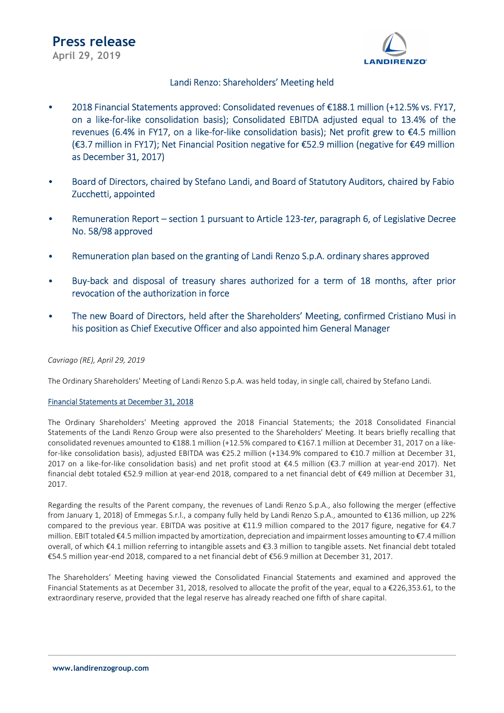

### Landi Renzo: Shareholders' Meeting held

- 2018 Financial Statements approved: Consolidated revenues of €188.1 million (+12.5% vs. FY17, on a like-for-like consolidation basis); Consolidated EBITDA adjusted equal to 13.4% of the revenues (6.4% in FY17, on a like-for-like consolidation basis); Net profit grew to €4.5 million (€3.7 million in FY17); Net Financial Position negative for €52.9 million (negative for €49 million as December 31, 2017)
- Board of Directors, chaired by Stefano Landi, and Board of Statutory Auditors, chaired by Fabio Zucchetti, appointed
- Remuneration Report section 1 pursuant to Article 123-ter, paragraph 6, of Legislative Decree No. 58/98 approved
- Remuneration plan based on the granting of Landi Renzo S.p.A. ordinary shares approved
- Buy-back and disposal of treasury shares authorized for a term of 18 months, after prior revocation of the authorization in force
- The new Board of Directors, held after the Shareholders' Meeting, confirmed Cristiano Musi in his position as Chief Executive Officer and also appointed him General Manager

### Cavriago (RE), April 29, 2019

The Ordinary Shareholders' Meeting of Landi Renzo S.p.A. was held today, in single call, chaired by Stefano Landi.

### Financial Statements at December 31, 2018

The Ordinary Shareholders' Meeting approved the 2018 Financial Statements; the 2018 Consolidated Financial Statements of the Landi Renzo Group were also presented to the Shareholders' Meeting. It bears briefly recalling that consolidated revenues amounted to €188.1 million (+12.5% compared to €167.1 million at December 31, 2017 on a likefor-like consolidation basis), adjusted EBITDA was €25.2 million (+134.9% compared to €10.7 million at December 31, 2017 on a like-for-like consolidation basis) and net profit stood at €4.5 million (€3.7 million at year-end 2017). Net financial debt totaled €52.9 million at year-end 2018, compared to a net financial debt of €49 million at December 31, 2017.

Regarding the results of the Parent company, the revenues of Landi Renzo S.p.A., also following the merger (effective from January 1, 2018) of Emmegas S.r.l., a company fully held by Landi Renzo S.p.A., amounted to €136 million, up 22% compared to the previous year. EBITDA was positive at €11.9 million compared to the 2017 figure, negative for €4.7 million. EBIT totaled €4.5 million impacted by amortization, depreciation and impairment losses amounting to €7.4 million overall, of which €4.1 million referring to intangible assets and €3.3 million to tangible assets. Net financial debt totaled €54.5 million year-end 2018, compared to a net financial debt of €56.9 million at December 31, 2017.

The Shareholders' Meeting having viewed the Consolidated Financial Statements and examined and approved the Financial Statements as at December 31, 2018, resolved to allocate the profit of the year, equal to a €226,353.61, to the extraordinary reserve, provided that the legal reserve has already reached one fifth of share capital.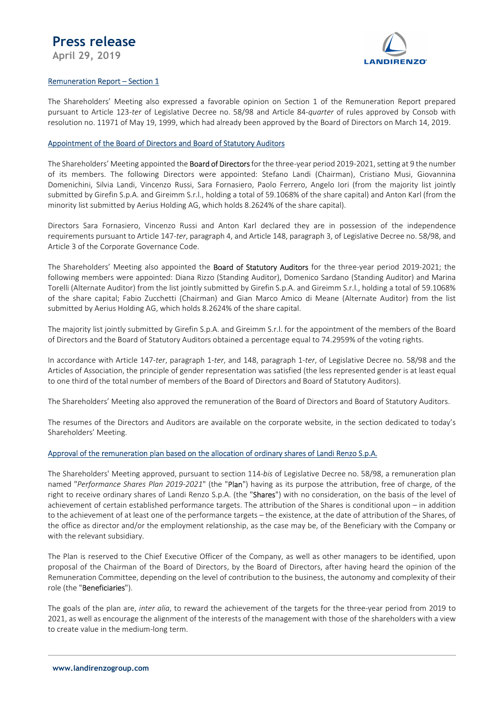## Press release

April 29, 2019



### Remuneration Report – Section 1

The Shareholders' Meeting also expressed a favorable opinion on Section 1 of the Remuneration Report prepared pursuant to Article 123-ter of Legislative Decree no. 58/98 and Article 84-quarter of rules approved by Consob with resolution no. 11971 of May 19, 1999, which had already been approved by the Board of Directors on March 14, 2019.

### Appointment of the Board of Directors and Board of Statutory Auditors

The Shareholders' Meeting appointed the **Board of Directors** for the three-year period 2019-2021, setting at 9 the number of its members. The following Directors were appointed: Stefano Landi (Chairman), Cristiano Musi, Giovannina Domenichini, Silvia Landi, Vincenzo Russi, Sara Fornasiero, Paolo Ferrero, Angelo Iori (from the majority list jointly submitted by Girefin S.p.A. and Gireimm S.r.l., holding a total of 59.1068% of the share capital) and Anton Karl (from the minority list submitted by Aerius Holding AG, which holds 8.2624% of the share capital).

Directors Sara Fornasiero, Vincenzo Russi and Anton Karl declared they are in possession of the independence requirements pursuant to Article 147-ter, paragraph 4, and Article 148, paragraph 3, of Legislative Decree no. 58/98, and Article 3 of the Corporate Governance Code.

The Shareholders' Meeting also appointed the **Board of Statutory Auditors** for the three-year period 2019-2021; the following members were appointed: Diana Rizzo (Standing Auditor), Domenico Sardano (Standing Auditor) and Marina Torelli (Alternate Auditor) from the list jointly submitted by Girefin S.p.A. and Gireimm S.r.l., holding a total of 59.1068% of the share capital; Fabio Zucchetti (Chairman) and Gian Marco Amico di Meane (Alternate Auditor) from the list submitted by Aerius Holding AG, which holds 8.2624% of the share capital.

The majority list jointly submitted by Girefin S.p.A. and Gireimm S.r.l. for the appointment of the members of the Board of Directors and the Board of Statutory Auditors obtained a percentage equal to 74.2959% of the voting rights.

In accordance with Article 147-ter, paragraph 1-ter, and 148, paragraph 1-ter, of Legislative Decree no. 58/98 and the Articles of Association, the principle of gender representation was satisfied (the less represented gender is at least equal to one third of the total number of members of the Board of Directors and Board of Statutory Auditors).

The Shareholders' Meeting also approved the remuneration of the Board of Directors and Board of Statutory Auditors.

The resumes of the Directors and Auditors are available on the corporate website, in the section dedicated to today's Shareholders' Meeting.

### Approval of the remuneration plan based on the allocation of ordinary shares of Landi Renzo S.p.A.

The Shareholders' Meeting approved, pursuant to section 114-bis of Legislative Decree no. 58/98, a remuneration plan named "Performance Shares Plan 2019-2021" (the "Plan") having as its purpose the attribution, free of charge, of the right to receive ordinary shares of Landi Renzo S.p.A. (the "Shares") with no consideration, on the basis of the level of achievement of certain established performance targets. The attribution of the Shares is conditional upon – in addition to the achievement of at least one of the performance targets – the existence, at the date of attribution of the Shares, of the office as director and/or the employment relationship, as the case may be, of the Beneficiary with the Company or with the relevant subsidiary.

The Plan is reserved to the Chief Executive Officer of the Company, as well as other managers to be identified, upon proposal of the Chairman of the Board of Directors, by the Board of Directors, after having heard the opinion of the Remuneration Committee, depending on the level of contribution to the business, the autonomy and complexity of their role (the "Beneficiaries").

The goals of the plan are, *inter alia*, to reward the achievement of the targets for the three-year period from 2019 to 2021, as well as encourage the alignment of the interests of the management with those of the shareholders with a view to create value in the medium-long term.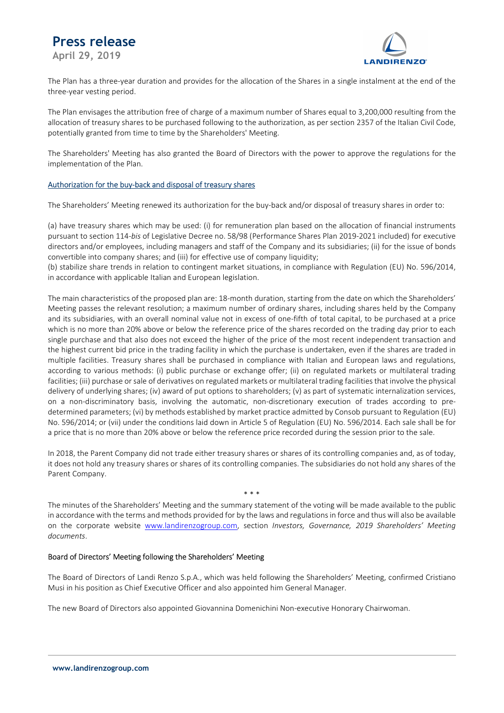# Press release

April 29, 2019



The Plan has a three-year duration and provides for the allocation of the Shares in a single instalment at the end of the three-year vesting period.

The Plan envisages the attribution free of charge of a maximum number of Shares equal to 3,200,000 resulting from the allocation of treasury shares to be purchased following to the authorization, as per section 2357 of the Italian Civil Code, potentially granted from time to time by the Shareholders' Meeting.

The Shareholders' Meeting has also granted the Board of Directors with the power to approve the regulations for the implementation of the Plan.

### Authorization for the buy-back and disposal of treasury shares

The Shareholders' Meeting renewed its authorization for the buy-back and/or disposal of treasury shares in order to:

(a) have treasury shares which may be used: (i) for remuneration plan based on the allocation of financial instruments pursuant to section 114-bis of Legislative Decree no. 58/98 (Performance Shares Plan 2019-2021 included) for executive directors and/or employees, including managers and staff of the Company and its subsidiaries; (ii) for the issue of bonds convertible into company shares; and (iii) for effective use of company liquidity;

(b) stabilize share trends in relation to contingent market situations, in compliance with Regulation (EU) No. 596/2014, in accordance with applicable Italian and European legislation.

The main characteristics of the proposed plan are: 18-month duration, starting from the date on which the Shareholders' Meeting passes the relevant resolution; a maximum number of ordinary shares, including shares held by the Company and its subsidiaries, with an overall nominal value not in excess of one-fifth of total capital, to be purchased at a price which is no more than 20% above or below the reference price of the shares recorded on the trading day prior to each single purchase and that also does not exceed the higher of the price of the most recent independent transaction and the highest current bid price in the trading facility in which the purchase is undertaken, even if the shares are traded in multiple facilities. Treasury shares shall be purchased in compliance with Italian and European laws and regulations, according to various methods: (i) public purchase or exchange offer; (ii) on regulated markets or multilateral trading facilities; (iii) purchase or sale of derivatives on regulated markets or multilateral trading facilities that involve the physical delivery of underlying shares; (iv) award of put options to shareholders; (v) as part of systematic internalization services, on a non-discriminatory basis, involving the automatic, non-discretionary execution of trades according to predetermined parameters; (vi) by methods established by market practice admitted by Consob pursuant to Regulation (EU) No. 596/2014; or (vii) under the conditions laid down in Article 5 of Regulation (EU) No. 596/2014. Each sale shall be for a price that is no more than 20% above or below the reference price recorded during the session prior to the sale.

In 2018, the Parent Company did not trade either treasury shares or shares of its controlling companies and, as of today, it does not hold any treasury shares or shares of its controlling companies. The subsidiaries do not hold any shares of the Parent Company.

\* \* \*

The minutes of the Shareholders' Meeting and the summary statement of the voting will be made available to the public in accordance with the terms and methods provided for by the laws and regulations in force and thus will also be available on the corporate website www.landirenzogroup.com, section Investors, Governance, 2019 Shareholders' Meeting documents.

### Board of Directors' Meeting following the Shareholders' Meeting

The Board of Directors of Landi Renzo S.p.A., which was held following the Shareholders' Meeting, confirmed Cristiano Musi in his position as Chief Executive Officer and also appointed him General Manager.

The new Board of Directors also appointed Giovannina Domenichini Non-executive Honorary Chairwoman.